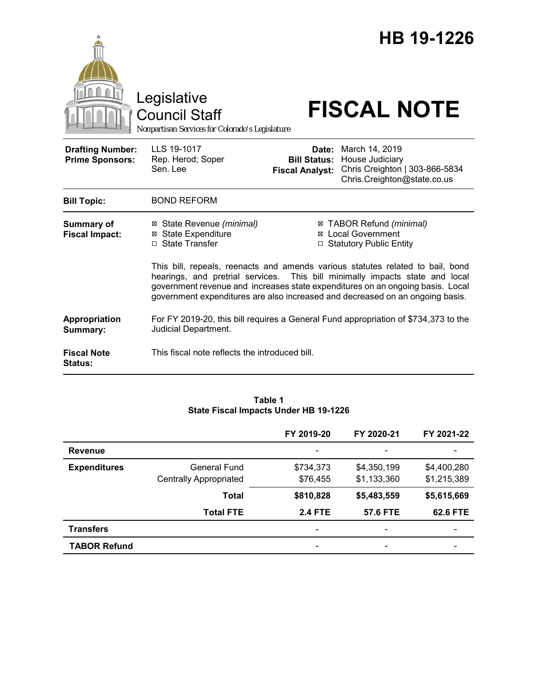

#### **Table 1 State Fiscal Impacts Under HB 19-1226**

|                     |                               | FY 2019-20               | FY 2020-21               | FY 2021-22               |
|---------------------|-------------------------------|--------------------------|--------------------------|--------------------------|
| <b>Revenue</b>      |                               |                          |                          |                          |
| <b>Expenditures</b> | General Fund                  | \$734,373                | \$4,350,199              | \$4,400,280              |
|                     | <b>Centrally Appropriated</b> | \$76,455                 | \$1,133,360              | \$1,215,389              |
|                     | <b>Total</b>                  | \$810,828                | \$5,483,559              | \$5,615,669              |
|                     | <b>Total FTE</b>              | <b>2.4 FTE</b>           | 57.6 FTE                 | 62.6 FTE                 |
| <b>Transfers</b>    |                               | $\overline{\phantom{a}}$ | $\overline{\phantom{a}}$ | $\overline{\phantom{0}}$ |
| <b>TABOR Refund</b> |                               | $\overline{\phantom{a}}$ |                          |                          |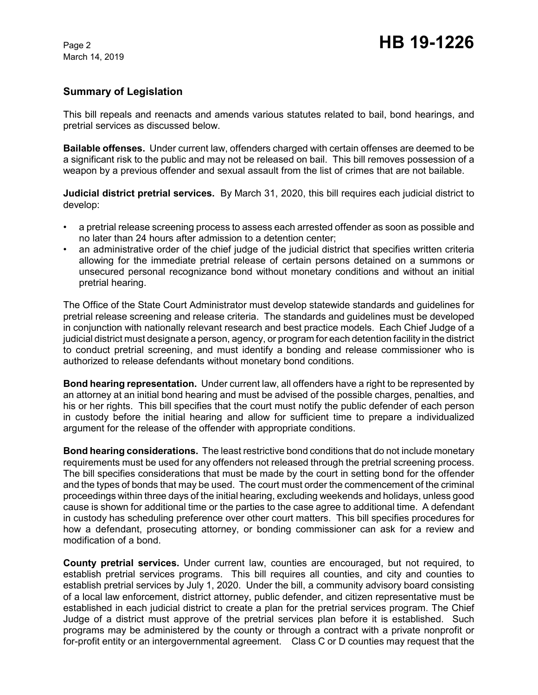## **Summary of Legislation**

This bill repeals and reenacts and amends various statutes related to bail, bond hearings, and pretrial services as discussed below.

**Bailable offenses.** Under current law, offenders charged with certain offenses are deemed to be a significant risk to the public and may not be released on bail. This bill removes possession of a weapon by a previous offender and sexual assault from the list of crimes that are not bailable.

**Judicial district pretrial services.** By March 31, 2020, this bill requires each judicial district to develop:

- a pretrial release screening process to assess each arrested offender as soon as possible and no later than 24 hours after admission to a detention center;
- an administrative order of the chief judge of the judicial district that specifies written criteria allowing for the immediate pretrial release of certain persons detained on a summons or unsecured personal recognizance bond without monetary conditions and without an initial pretrial hearing.

The Office of the State Court Administrator must develop statewide standards and guidelines for pretrial release screening and release criteria. The standards and guidelines must be developed in conjunction with nationally relevant research and best practice models. Each Chief Judge of a judicial district must designate a person, agency, or program for each detention facility in the district to conduct pretrial screening, and must identify a bonding and release commissioner who is authorized to release defendants without monetary bond conditions.

**Bond hearing representation.** Under current law, all offenders have a right to be represented by an attorney at an initial bond hearing and must be advised of the possible charges, penalties, and his or her rights. This bill specifies that the court must notify the public defender of each person in custody before the initial hearing and allow for sufficient time to prepare a individualized argument for the release of the offender with appropriate conditions.

**Bond hearing considerations.** The least restrictive bond conditions that do not include monetary requirements must be used for any offenders not released through the pretrial screening process. The bill specifies considerations that must be made by the court in setting bond for the offender and the types of bonds that may be used. The court must order the commencement of the criminal proceedings within three days of the initial hearing, excluding weekends and holidays, unless good cause is shown for additional time or the parties to the case agree to additional time. A defendant in custody has scheduling preference over other court matters. This bill specifies procedures for how a defendant, prosecuting attorney, or bonding commissioner can ask for a review and modification of a bond.

**County pretrial services.** Under current law, counties are encouraged, but not required, to establish pretrial services programs. This bill requires all counties, and city and counties to establish pretrial services by July 1, 2020. Under the bill, a community advisory board consisting of a local law enforcement, district attorney, public defender, and citizen representative must be established in each judicial district to create a plan for the pretrial services program. The Chief Judge of a district must approve of the pretrial services plan before it is established. Such programs may be administered by the county or through a contract with a private nonprofit or for-profit entity or an intergovernmental agreement. Class C or D counties may request that the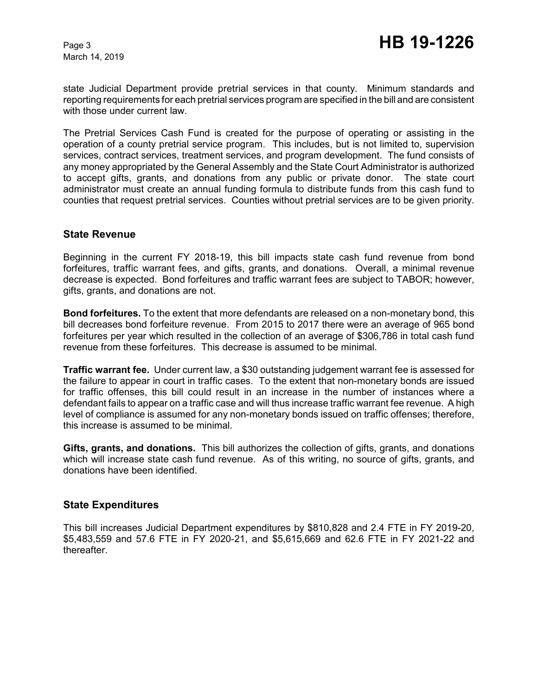state Judicial Department provide pretrial services in that county. Minimum standards and reporting requirements for each pretrial services program are specified in the bill and are consistent with those under current law.

The Pretrial Services Cash Fund is created for the purpose of operating or assisting in the operation of a county pretrial service program. This includes, but is not limited to, supervision services, contract services, treatment services, and program development. The fund consists of any money appropriated by the General Assembly and the State Court Administrator is authorized to accept gifts, grants, and donations from any public or private donor. The state court administrator must create an annual funding formula to distribute funds from this cash fund to counties that request pretrial services. Counties without pretrial services are to be given priority.

#### **State Revenue**

Beginning in the current FY 2018-19, this bill impacts state cash fund revenue from bond forfeitures, traffic warrant fees, and gifts, grants, and donations. Overall, a minimal revenue decrease is expected. Bond forfeitures and traffic warrant fees are subject to TABOR; however, gifts, grants, and donations are not.

**Bond forfeitures.** To the extent that more defendants are released on a non-monetary bond, this bill decreases bond forfeiture revenue. From 2015 to 2017 there were an average of 965 bond forfeitures per year which resulted in the collection of an average of \$306,786 in total cash fund revenue from these forfeitures. This decrease is assumed to be minimal.

**Traffic warrant fee.** Under current law, a \$30 outstanding judgement warrant fee is assessed for the failure to appear in court in traffic cases. To the extent that non-monetary bonds are issued for traffic offenses, this bill could result in an increase in the number of instances where a defendant fails to appear on a traffic case and will thus increase traffic warrant fee revenue. A high level of compliance is assumed for any non-monetary bonds issued on traffic offenses; therefore, this increase is assumed to be minimal.

**Gifts, grants, and donations.** This bill authorizes the collection of gifts, grants, and donations which will increase state cash fund revenue. As of this writing, no source of gifts, grants, and donations have been identified.

### **State Expenditures**

This bill increases Judicial Department expenditures by \$810,828 and 2.4 FTE in FY 2019-20, \$5,483,559 and 57.6 FTE in FY 2020-21, and \$5,615,669 and 62.6 FTE in FY 2021-22 and thereafter.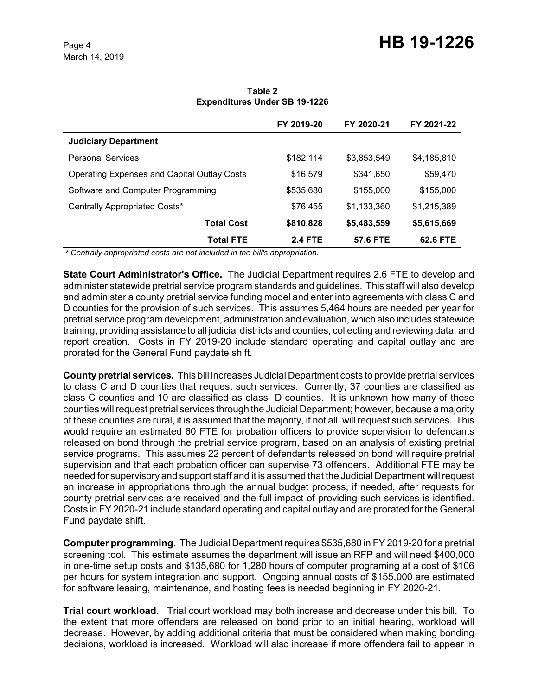|                                                    | FY 2019-20     | FY 2020-21  | FY 2021-22  |
|----------------------------------------------------|----------------|-------------|-------------|
| <b>Judiciary Department</b>                        |                |             |             |
| <b>Personal Services</b>                           | \$182,114      | \$3,853,549 | \$4,185,810 |
| <b>Operating Expenses and Capital Outlay Costs</b> | \$16,579       | \$341,650   | \$59,470    |
| Software and Computer Programming                  | \$535,680      | \$155,000   | \$155,000   |
| Centrally Appropriated Costs*                      | \$76,455       | \$1,133,360 | \$1,215,389 |
| <b>Total Cost</b>                                  | \$810,828      | \$5,483,559 | \$5,615,669 |
| <b>Total FTE</b>                                   | <b>2.4 FTE</b> | 57.6 FTE    | 62.6 FTE    |

**Table 2 Expenditures Under SB 19-1226**

 *\* Centrally appropriated costs are not included in the bill's appropriation.*

**State Court Administrator's Office.** The Judicial Department requires 2.6 FTE to develop and administer statewide pretrial service program standards and guidelines. This staff will also develop and administer a county pretrial service funding model and enter into agreements with class C and D counties for the provision of such services. This assumes 5,464 hours are needed per year for pretrial service program development, administration and evaluation, which also includes statewide training, providing assistance to all judicial districts and counties, collecting and reviewing data, and report creation. Costs in FY 2019-20 include standard operating and capital outlay and are prorated for the General Fund paydate shift.

**County pretrial services.** This bill increases Judicial Department costs to provide pretrial services to class C and D counties that request such services. Currently, 37 counties are classified as class C counties and 10 are classified as class D counties. It is unknown how many of these counties will request pretrial services through the Judicial Department; however, because a majority of these counties are rural, it is assumed that the majority, if not all, will request such services. This would require an estimated 60 FTE for probation officers to provide supervision to defendants released on bond through the pretrial service program, based on an analysis of existing pretrial service programs. This assumes 22 percent of defendants released on bond will require pretrial supervision and that each probation officer can supervise 73 offenders. Additional FTE may be needed for supervisory and support staff and it is assumed that the Judicial Department will request an increase in appropriations through the annual budget process, if needed, after requests for county pretrial services are received and the full impact of providing such services is identified. Costs in FY 2020-21 include standard operating and capital outlay and are prorated for the General Fund paydate shift.

**Computer programming.** The Judicial Department requires \$535,680 in FY 2019-20 for a pretrial screening tool. This estimate assumes the department will issue an RFP and will need \$400,000 in one-time setup costs and \$135,680 for 1,280 hours of computer programing at a cost of \$106 per hours for system integration and support. Ongoing annual costs of \$155,000 are estimated for software leasing, maintenance, and hosting fees is needed beginning in FY 2020-21.

**Trial court workload.** Trial court workload may both increase and decrease under this bill. To the extent that more offenders are released on bond prior to an initial hearing, workload will decrease. However, by adding additional criteria that must be considered when making bonding decisions, workload is increased. Workload will also increase if more offenders fail to appear in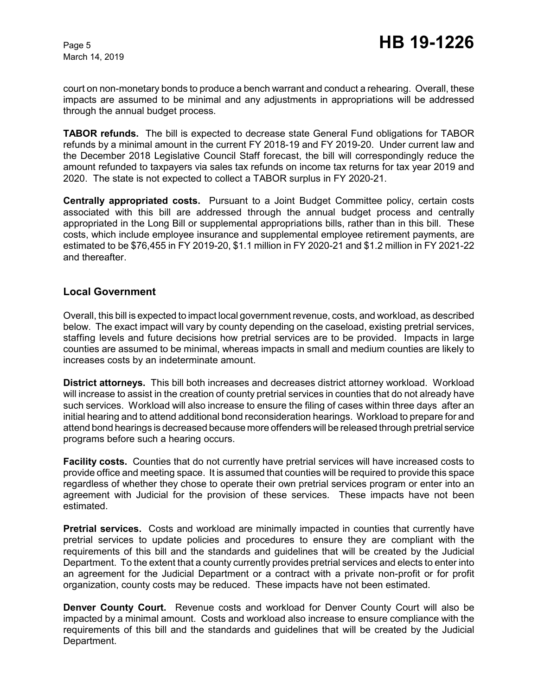court on non-monetary bonds to produce a bench warrant and conduct a rehearing. Overall, these impacts are assumed to be minimal and any adjustments in appropriations will be addressed through the annual budget process.

**TABOR refunds.** The bill is expected to decrease state General Fund obligations for TABOR refunds by a minimal amount in the current FY 2018-19 and FY 2019-20. Under current law and the December 2018 Legislative Council Staff forecast, the bill will correspondingly reduce the amount refunded to taxpayers via sales tax refunds on income tax returns for tax year 2019 and 2020. The state is not expected to collect a TABOR surplus in FY 2020-21.

**Centrally appropriated costs.** Pursuant to a Joint Budget Committee policy, certain costs associated with this bill are addressed through the annual budget process and centrally appropriated in the Long Bill or supplemental appropriations bills, rather than in this bill. These costs, which include employee insurance and supplemental employee retirement payments, are estimated to be \$76,455 in FY 2019-20, \$1.1 million in FY 2020-21 and \$1.2 million in FY 2021-22 and thereafter.

#### **Local Government**

Overall, this bill is expected to impact local government revenue, costs, and workload, as described below. The exact impact will vary by county depending on the caseload, existing pretrial services, staffing levels and future decisions how pretrial services are to be provided. Impacts in large counties are assumed to be minimal, whereas impacts in small and medium counties are likely to increases costs by an indeterminate amount.

**District attorneys.** This bill both increases and decreases district attorney workload. Workload will increase to assist in the creation of county pretrial services in counties that do not already have such services. Workload will also increase to ensure the filing of cases within three days after an initial hearing and to attend additional bond reconsideration hearings. Workload to prepare for and attend bond hearings is decreased because more offenders will be released through pretrial service programs before such a hearing occurs.

**Facility costs.** Counties that do not currently have pretrial services will have increased costs to provide office and meeting space. It is assumed that counties will be required to provide this space regardless of whether they chose to operate their own pretrial services program or enter into an agreement with Judicial for the provision of these services. These impacts have not been estimated.

**Pretrial services.** Costs and workload are minimally impacted in counties that currently have pretrial services to update policies and procedures to ensure they are compliant with the requirements of this bill and the standards and guidelines that will be created by the Judicial Department. To the extent that a county currently provides pretrial services and elects to enter into an agreement for the Judicial Department or a contract with a private non-profit or for profit organization, county costs may be reduced. These impacts have not been estimated.

**Denver County Court.** Revenue costs and workload for Denver County Court will also be impacted by a minimal amount. Costs and workload also increase to ensure compliance with the requirements of this bill and the standards and guidelines that will be created by the Judicial Department.